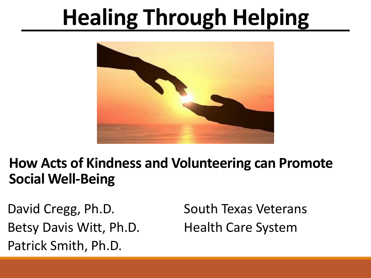## **Healing Through Helping**



#### **How Acts of Kindness and Volunteering can Promote Social Well-Being**

David Cregg, Ph.D. Betsy Davis Witt, Ph.D. Patrick Smith, Ph.D.

South Texas Veterans Health Care System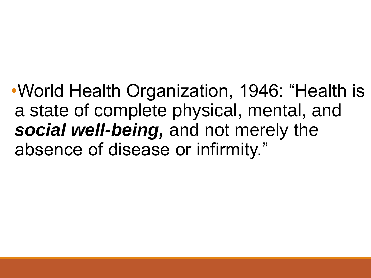•World Health Organization, 1946: "Health is a state of complete physical, mental, and *social well-being,* and not merely the absence of disease or infirmity."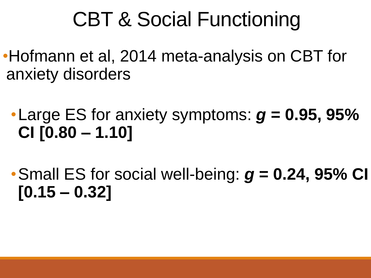#### CBT & Social Functioning

- •Hofmann et al, 2014 meta-analysis on CBT for anxiety disorders
	- •Large ES for anxiety symptoms: *g* **= 0.95, 95% CI [0.80 – 1.10]**
	- •Small ES for social well-being: *g* **= 0.24, 95% CI [0.15 – 0.32]**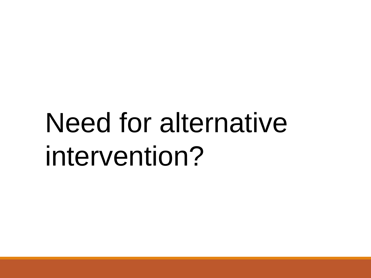## Need for alternative intervention?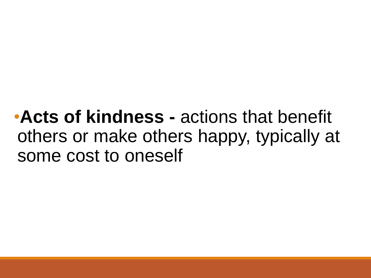•**Acts of kindness -** actions that benefit others or make others happy, typically at some cost to oneself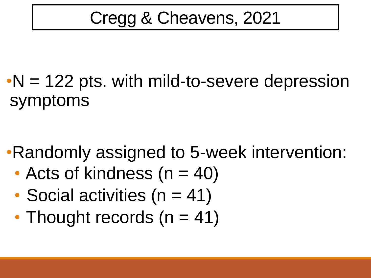#### Cregg & Cheavens, 2021

#### $\cdot$ N = 122 pts. with mild-to-severe depression symptoms

•Randomly assigned to 5-week intervention:

- Acts of kindness  $(n = 40)$
- Social activities ( $n = 41$ )
- Thought records  $(n = 41)$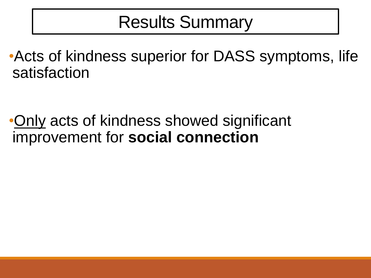#### Results Summary

•Acts of kindness superior for DASS symptoms, life satisfaction

•Only acts of kindness showed significant improvement for **social connection**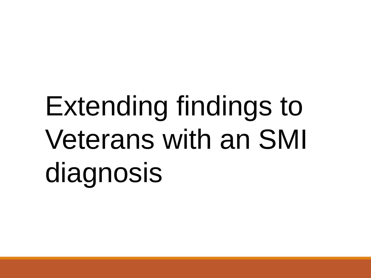# Extending findings to Veterans with an SMI diagnosis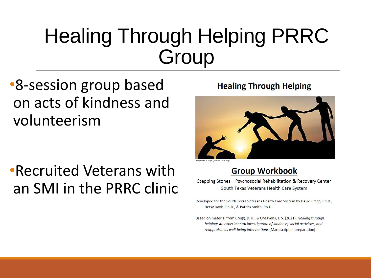#### Healing Through Helping PRRC **Group**

•8-session group based on acts of kindness and volunteerism

•Recruited Veterans with an SMI in the PRRC clinic

#### **Healing Through Helping**



#### **Group Workbook**

Stepping Stones - Psychosocial Rehabilitation & Recovery Center South Texas Veterans Health Care System

Developed for the South Texas Veterans Health Care System by David Cregg, Ph.D., Betsy Davis, Ph.D., & Patrick Smith, Ph.D.

Based on material from Cregg, D. R., & Cheavens, J. S. (2021). Healing through helping: An experimental investigation of kindness, social activities, and reappraisal as well-being interventions [Manuscript in preparation].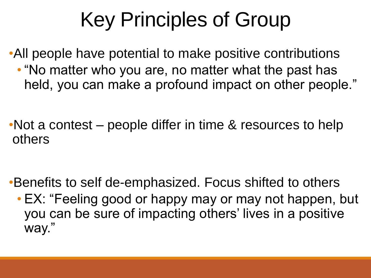### Key Principles of Group

•All people have potential to make positive contributions • "No matter who you are, no matter what the past has held, you can make a profound impact on other people."

•Not a contest – people differ in time & resources to help others

•Benefits to self de-emphasized. Focus shifted to others • EX: "Feeling good or happy may or may not happen, but you can be sure of impacting others' lives in a positive way."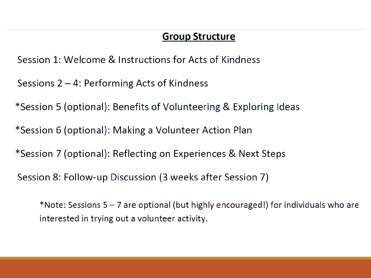#### **Group Structure**

Session 1: Welcome & Instructions for Acts of Kindness

Sessions  $2 - 4$ : Performing Acts of Kindness

\*Session 5 (optional): Benefits of Volunteering & Exploring Ideas

\*Session 6 (optional): Making a Volunteer Action Plan

\*Session 7 (optional): Reflecting on Experiences & Next Steps

Session 8: Follow-up Discussion (3 weeks after Session 7)

\*Note: Sessions 5 - 7 are optional (but highly encouraged!) for individuals who are interested in trying out a volunteer activity.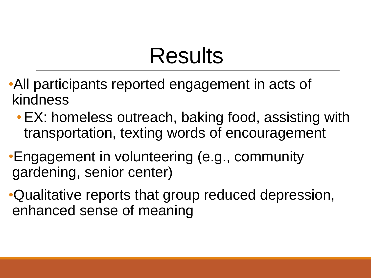### Results

- •All participants reported engagement in acts of kindness
	- •EX: homeless outreach, baking food, assisting with transportation, texting words of encouragement
- •Engagement in volunteering (e.g., community gardening, senior center)
- •Qualitative reports that group reduced depression, enhanced sense of meaning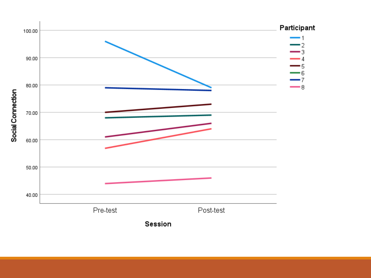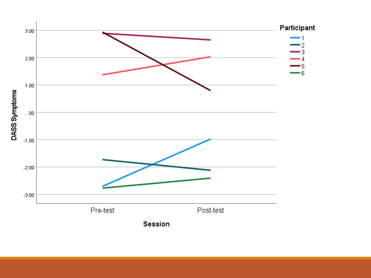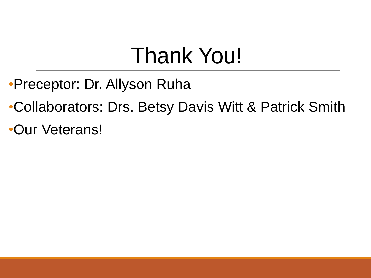### Thank You!

- •Preceptor: Dr. Allyson Ruha
- •Collaborators: Drs. Betsy Davis Witt & Patrick Smith
- •Our Veterans!